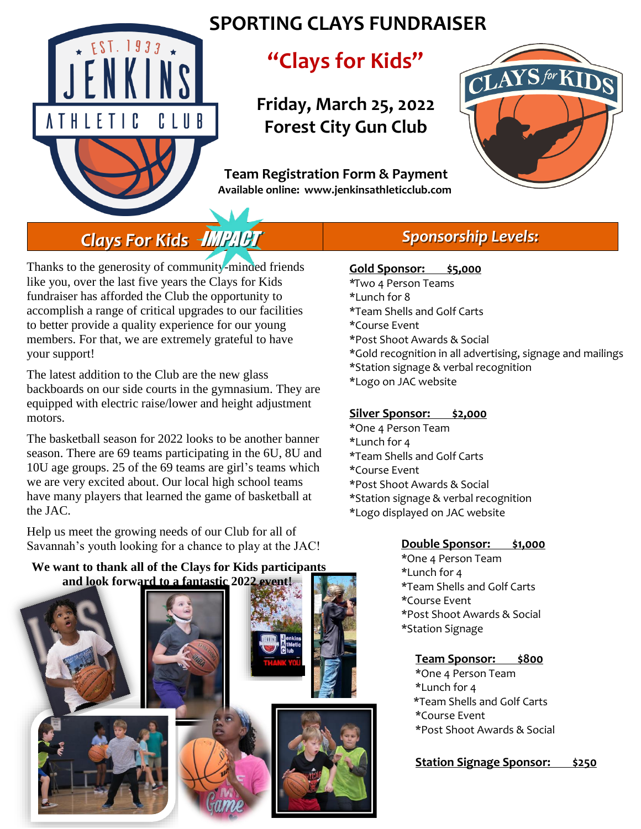

## **SPORTING CLAYS FUNDRAISER**

## **"Clays for Kids"**

**Friday, March 25, 2022 Forest City Gun Club**

 **Team Registration Form & Payment Available online: www.jenkinsathleticclub.com**



# *Clays For Kids* IMPACT

Thanks to the generosity of community-minded friends like you, over the last five years the Clays for Kids fundraiser has afforded the Club the opportunity to accomplish a range of critical upgrades to our facilities to better provide a quality experience for our young members. For that, we are extremely grateful to have your support!

The latest addition to the Club are the new glass backboards on our side courts in the gymnasium. They are equipped with electric raise/lower and height adjustment motors.

The basketball season for 2022 looks to be another banner season. There are 69 teams participating in the 6U, 8U and 10U age groups. 25 of the 69 teams are girl's teams which we are very excited about. Our local high school teams have many players that learned the game of basketball at the JAC.

Help us meet the growing needs of our Club for all of Savannah's youth looking for a chance to play at the JAC!

#### **We want to thank all of the Clays for Kids participants and look forward to a fantastic 2022 event!**



### *Sponsorship Levels:*

#### **Gold Sponsor: \$5,000**

\*Two 4 Person Teams \*Lunch for 8 \*Team Shells and Golf Carts \*Course Event \*Post Shoot Awards & Social \*Gold recognition in all advertising, signage and mailings \*Station signage & verbal recognition \*Logo on JAC website

#### **Silver Sponsor: \$2,000**

- \*One 4 Person Team \*Lunch for 4 \*Team Shells and Golf Carts
- \*Course Event
- \*Post Shoot Awards & Social
- \*Station signage & verbal recognition
- \*Logo displayed on JAC website

#### **Double Sponsor: \$1,000**

\*One 4 Person Team \*Lunch for 4 \*Team Shells and Golf Carts \*Course Event \*Post Shoot Awards & Social \*Station Signage

#### **Team Sponsor: \$800**

- \*One 4 Person Team
- \*Lunch for 4
- \*Team Shells and Golf Carts
- \*Course Event
- \*Post Shoot Awards & Social
- **Station Signage Sponsor: \$250**